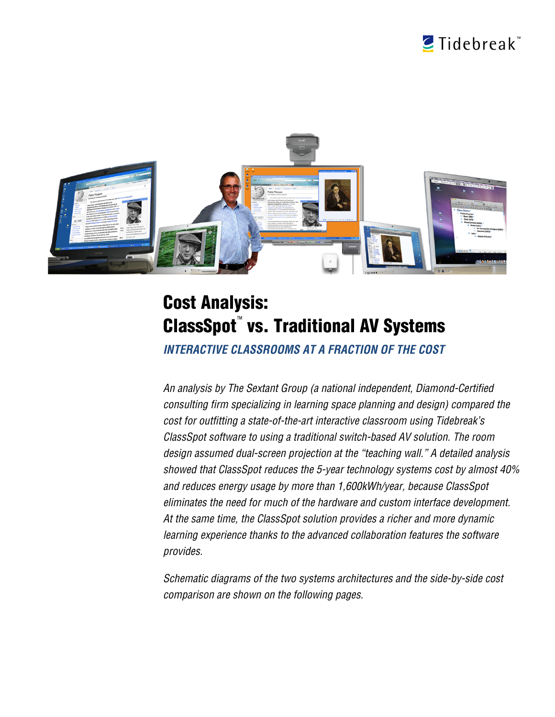



## Cost Analysis: ClassSpot™vs. Traditional AV Systems

*INTERACTIVE CLASSROOMS AT A FRACTION OF THE COST*

*An analysis by The Sextant Group (a national independent, Diamond-Certified consulting firm specializing in learning space planning and design) compared the cost for outfitting a state-of-the-art interactive classroom using Tidebreak's ClassSpot software to using a traditional switch-based AV solution. The room design assumed dual-screen projection at the "teaching wall." A detailed analysis showed that ClassSpot reduces the 5-year technology systems cost by almost 40% and reduces energy usage by more than 1,600kWh/year, because ClassSpot eliminates the need for much of the hardware and custom interface development. At the same time, the ClassSpot solution provides a richer and more dynamic learning experience thanks to the advanced collaboration features the software provides.*

*Schematic diagrams of the two systems architectures and the side-by-side cost comparison are shown on the following pages.*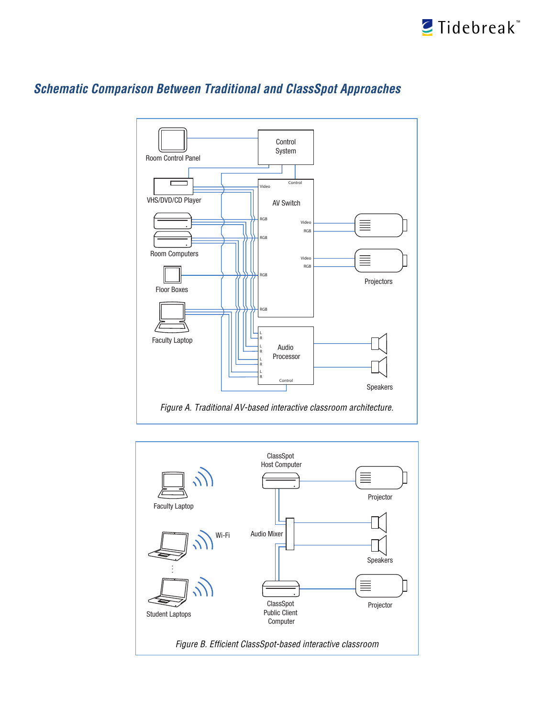



## *Schematic Comparison Between Traditional and ClassSpot Approaches*